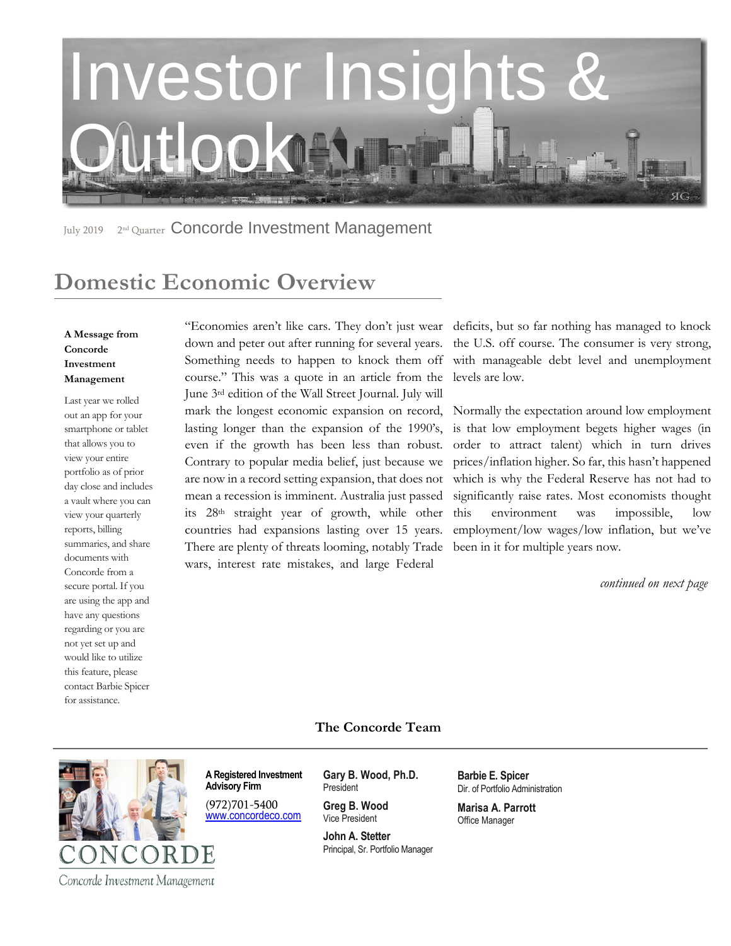

July 2019 2<sup>nd</sup> Quarter Concorde Investment Management

# **Domestic Economic Overview**

### **A Message from Concorde Investment Management**

Last year we rolled out an app for your smartphone or tablet that allows you to view your entire portfolio as of prior day close and includes a vault where you can view your quarterly reports, billing summaries, and share documents with Concorde from a secure portal. If you are using the app and have any questions regarding or you are not yet set up and would like to utilize this feature, please contact Barbie Spicer for assistance.

"Economies aren't like cars. They don't just wear deficits, but so far nothing has managed to knock down and peter out after running for several years. Something needs to happen to knock them off with manageable debt level and unemployment course." This was a quote in an article from the June 3rd edition of the Wall Street Journal. July will mark the longest economic expansion on record, lasting longer than the expansion of the 1990's, even if the growth has been less than robust. Contrary to popular media belief, just because we are now in a record setting expansion, that does not mean a recession is imminent. Australia just passed its 28th straight year of growth, while other countries had expansions lasting over 15 years. There are plenty of threats looming, notably Trade been in it for multiple years now. wars, interest rate mistakes, and large Federal

the U.S. off course. The consumer is very strong, levels are low.

Normally the expectation around low employment is that low employment begets higher wages (in order to attract talent) which in turn drives prices/inflation higher. So far, this hasn't happened which is why the Federal Reserve has not had to significantly raise rates. Most economists thought this environment was impossible, low employment/low wages/low inflation, but we've

*continued on next page* 

### **The Concorde Team**



**A Registered Investment Advisory Firm** 

(972)701-5400 [www.concordeco.com](http://www.concordeco.com/) **Gary B. Wood, Ph.D.** President

**Greg B. Wood** Vice President

**John A. Stetter**  Principal, Sr. Portfolio Manager **Barbie E. Spicer**  Dir. of Portfolio Administration

**Marisa A. Parrott** Office Manager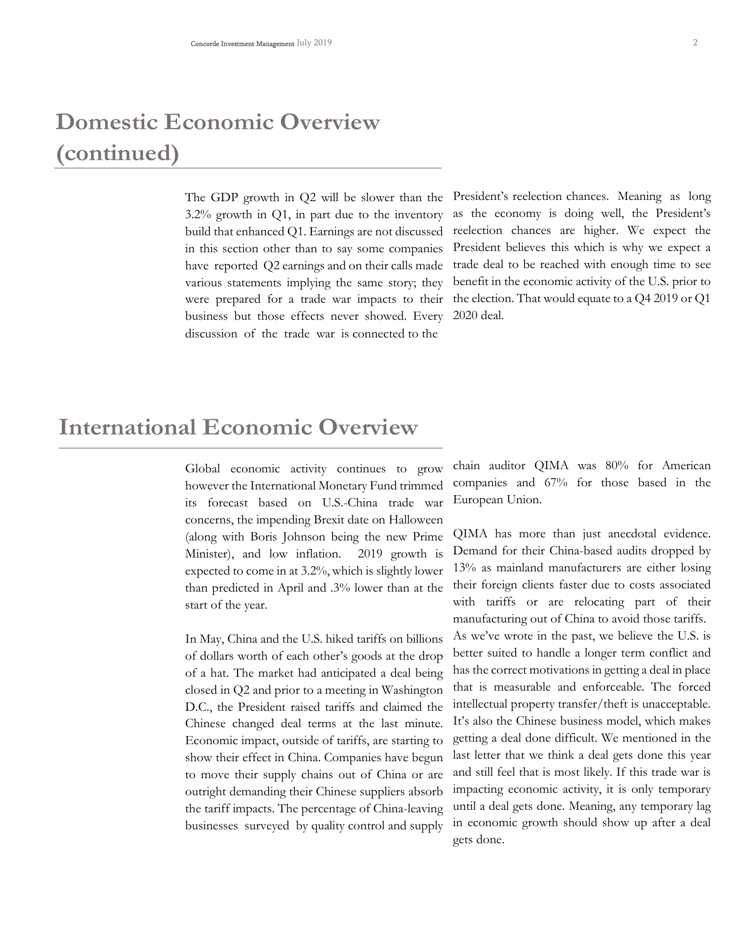# **Domestic Economic Overview (continued)**

3.2% growth in Q1, in part due to the inventory build that enhanced Q1. Earnings are not discussed in this section other than to say some companies have reported Q2 earnings and on their calls made various statements implying the same story; they were prepared for a trade war impacts to their business but those effects never showed. Every discussion of the trade war is connected to the

The GDP growth in Q2 will be slower than the President's reelection chances. Meaning as long as the economy is doing well, the President's reelection chances are higher. We expect the President believes this which is why we expect a trade deal to be reached with enough time to see benefit in the economic activity of the U.S. prior to the election. That would equate to a Q4 2019 or Q1 2020 deal.

### **International Economic Overview**

Global economic activity continues to grow however the International Monetary Fund trimmed its forecast based on U.S.-China trade war concerns, the impending Brexit date on Halloween (along with Boris Johnson being the new Prime Minister), and low inflation. 2019 growth is expected to come in at 3.2%, which is slightly lower than predicted in April and .3% lower than at the start of the year.

In May, China and the U.S. hiked tariffs on billions of dollars worth of each other's goods at the drop of a hat. The market had anticipated a deal being closed in Q2 and prior to a meeting in Washington D.C., the President raised tariffs and claimed the Chinese changed deal terms at the last minute. Economic impact, outside of tariffs, are starting to show their effect in China. Companies have begun to move their supply chains out of China or are outright demanding their Chinese suppliers absorb the tariff impacts. The percentage of China-leaving businesses surveyed by quality control and supply

chain auditor QIMA was 80% for American companies and 67% for those based in the European Union.

QIMA has more than just anecdotal evidence. Demand for their China-based audits dropped by 13% as mainland manufacturers are either losing their foreign clients faster due to costs associated with tariffs or are relocating part of their manufacturing out of China to avoid those tariffs. As we've wrote in the past, we believe the U.S. is better suited to handle a longer term conflict and has the correct motivations in getting a deal in place that is measurable and enforceable. The forced intellectual property transfer/theft is unacceptable. It's also the Chinese business model, which makes getting a deal done difficult. We mentioned in the last letter that we think a deal gets done this year and still feel that is most likely. If this trade war is impacting economic activity, it is only temporary until a deal gets done. Meaning, any temporary lag in economic growth should show up after a deal gets done.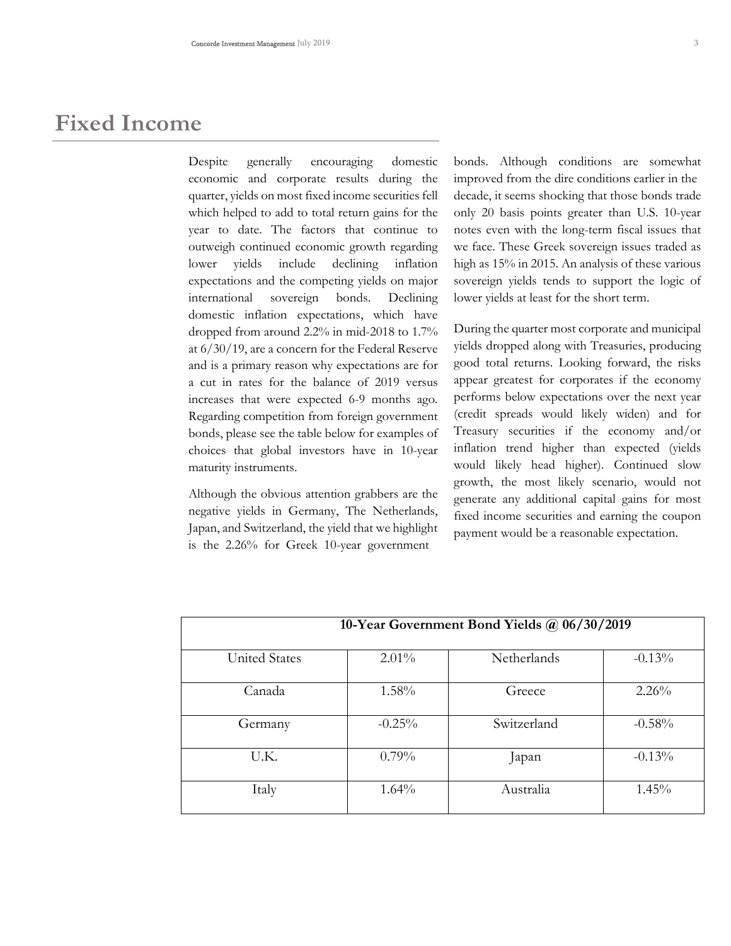### **Fixed Income**

Despite generally encouraging domestic economic and corporate results during the quarter, yields on most fixed income securities fell which helped to add to total return gains for the year to date. The factors that continue to outweigh continued economic growth regarding lower yields include declining inflation expectations and the competing yields on major international sovereign bonds. Declining domestic inflation expectations, which have dropped from around 2.2% in mid-2018 to 1.7% at 6/30/19, are a concern for the Federal Reserve and is a primary reason why expectations are for a cut in rates for the balance of 2019 versus increases that were expected 6-9 months ago. Regarding competition from foreign government bonds, please see the table below for examples of choices that global investors have in 10-year maturity instruments.

Although the obvious attention grabbers are the negative yields in Germany, The Netherlands, Japan, and Switzerland, the yield that we highlight is the 2.26% for Greek 10-year government

bonds. Although conditions are somewhat improved from the dire conditions earlier in the decade, it seems shocking that those bonds trade only 20 basis points greater than U.S. 10-year notes even with the long-term fiscal issues that we face. These Greek sovereign issues traded as high as 15% in 2015. An analysis of these various sovereign yields tends to support the logic of lower yields at least for the short term.

During the quarter most corporate and municipal yields dropped along with Treasuries, producing good total returns. Looking forward, the risks appear greatest for corporates if the economy performs below expectations over the next year (credit spreads would likely widen) and for Treasury securities if the economy and/or inflation trend higher than expected (yields would likely head higher). Continued slow growth, the most likely scenario, would not generate any additional capital gains for most fixed income securities and earning the coupon payment would be a reasonable expectation.

| 10-Year Government Bond Yields @ 06/30/2019 |          |             |          |
|---------------------------------------------|----------|-------------|----------|
| <b>United States</b>                        | $2.01\%$ | Netherlands | $-0.13%$ |
| Canada                                      | $1.58\%$ | Greece      | $2.26\%$ |
| Germany                                     | $-0.25%$ | Switzerland | $-0.58%$ |
| U.K.                                        | $0.79\%$ | Japan       | $-0.13%$ |
| Italy                                       | $1.64\%$ | Australia   | $1.45\%$ |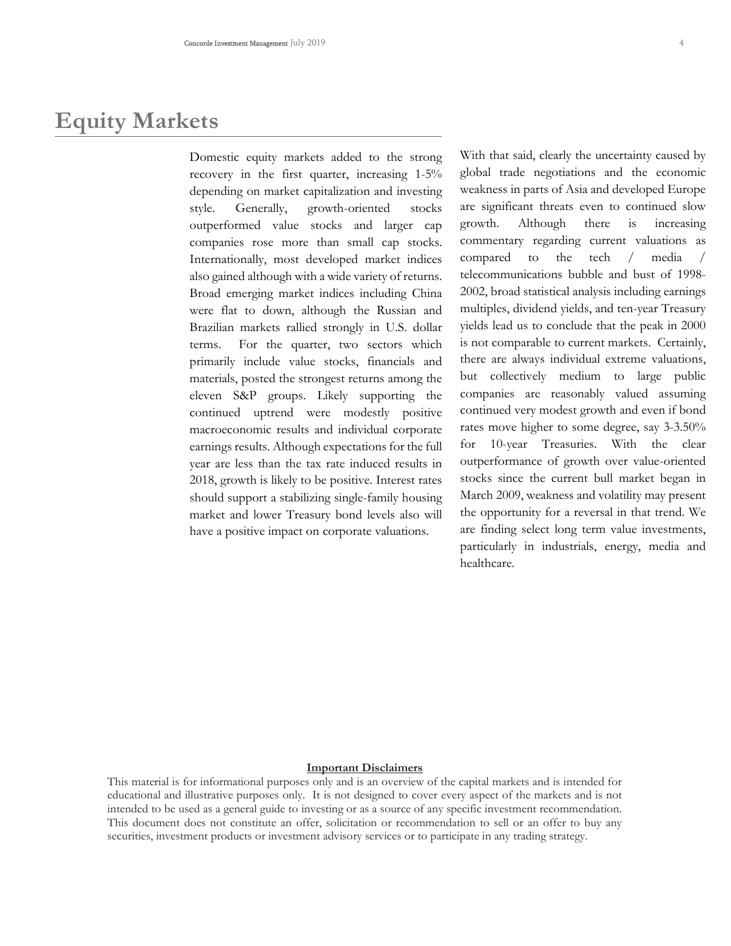### **Equity Markets**

Domestic equity markets added to the strong recovery in the first quarter, increasing 1-5% depending on market capitalization and investing style. Generally, growth-oriented stocks outperformed value stocks and larger cap companies rose more than small cap stocks. Internationally, most developed market indices also gained although with a wide variety of returns. Broad emerging market indices including China were flat to down, although the Russian and Brazilian markets rallied strongly in U.S. dollar terms. For the quarter, two sectors which primarily include value stocks, financials and materials, posted the strongest returns among the eleven S&P groups. Likely supporting the continued uptrend were modestly positive macroeconomic results and individual corporate earnings results. Although expectations for the full year are less than the tax rate induced results in 2018, growth is likely to be positive. Interest rates should support a stabilizing single-family housing market and lower Treasury bond levels also will have a positive impact on corporate valuations.

With that said, clearly the uncertainty caused by global trade negotiations and the economic weakness in parts of Asia and developed Europe are significant threats even to continued slow growth. Although there is increasing commentary regarding current valuations as compared to the tech / media / telecommunications bubble and bust of 1998- 2002, broad statistical analysis including earnings multiples, dividend yields, and ten-year Treasury yields lead us to conclude that the peak in 2000 is not comparable to current markets. Certainly, there are always individual extreme valuations, but collectively medium to large public companies are reasonably valued assuming continued very modest growth and even if bond rates move higher to some degree, say 3-3.50% for 10-year Treasuries. With the clear outperformance of growth over value-oriented stocks since the current bull market began in March 2009, weakness and volatility may present the opportunity for a reversal in that trend. We are finding select long term value investments, particularly in industrials, energy, media and healthcare.

#### **Important Disclaimers**

This material is for informational purposes only and is an overview of the capital markets and is intended for educational and illustrative purposes only. It is not designed to cover every aspect of the markets and is not intended to be used as a general guide to investing or as a source of any specific investment recommendation. This document does not constitute an offer, solicitation or recommendation to sell or an offer to buy any securities, investment products or investment advisory services or to participate in any trading strategy.